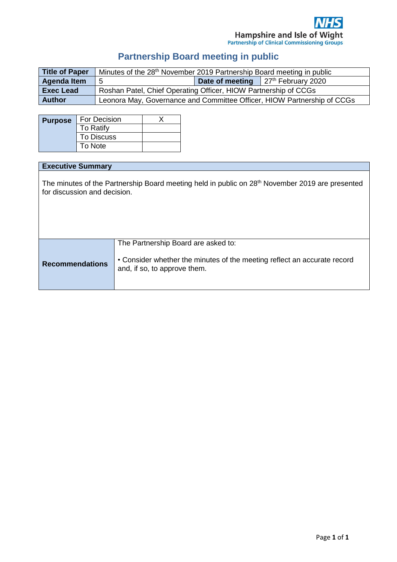# **Partnership Board meeting in public**

| Title of Paper     | Minutes of the 28 <sup>th</sup> November 2019 Partnership Board meeting in public |  |                                                       |
|--------------------|-----------------------------------------------------------------------------------|--|-------------------------------------------------------|
| <b>Agenda Item</b> | 5                                                                                 |  | <b>Date of meeting</b> 27 <sup>th</sup> February 2020 |
| <b>Exec Lead</b>   | Roshan Patel, Chief Operating Officer, HIOW Partnership of CCGs                   |  |                                                       |
| <b>Author</b>      | Leonora May, Governance and Committee Officer, HIOW Partnership of CCGs           |  |                                                       |

| <b>Purpose</b> | For Decision      |  |
|----------------|-------------------|--|
|                | <b>To Ratify</b>  |  |
|                | <b>To Discuss</b> |  |
|                | To Note           |  |

#### **Executive Summary**

The minutes of the Partnership Board meeting held in public on 28<sup>th</sup> November 2019 are presented for discussion and decision.

|                        | The Partnership Board are asked to:                                                                      |
|------------------------|----------------------------------------------------------------------------------------------------------|
| <b>Recommendations</b> | • Consider whether the minutes of the meeting reflect an accurate record<br>and, if so, to approve them. |
|                        |                                                                                                          |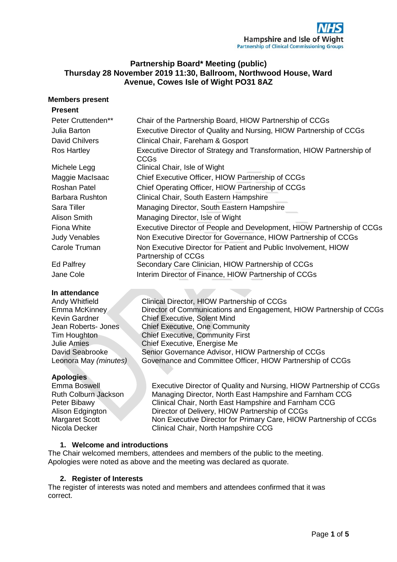# **Partnership Board\* Meeting (public) Thursday 28 November 2019 11:30, Ballroom, Northwood House, Ward Avenue, Cowes Isle of Wight PO31 8AZ**

## **Members present**

#### **Present**

| Peter Cruttenden**     | Chair of the Partnership Board, HIOW Partnership of CCGs                               |
|------------------------|----------------------------------------------------------------------------------------|
| Julia Barton           | Executive Director of Quality and Nursing, HIOW Partnership of CCGs                    |
| <b>David Chilvers</b>  | Clinical Chair, Fareham & Gosport                                                      |
| Ros Hartley            | Executive Director of Strategy and Transformation, HIOW Partnership of<br>CCGs         |
| Michele Legg           | Clinical Chair, Isle of Wight                                                          |
| Maggie MacIsaac        | Chief Executive Officer, HIOW Partnership of CCGs                                      |
| Roshan Patel           | Chief Operating Officer, HIOW Partnership of CCGs                                      |
| <b>Barbara Rushton</b> | Clinical Chair, South Eastern Hampshire                                                |
| Sara Tiller            | Managing Director, South Eastern Hampshire                                             |
| Alison Smith           | Managing Director, Isle of Wight                                                       |
| Fiona White            | Executive Director of People and Development, HIOW Partnership of CCGs                 |
| <b>Judy Venables</b>   | Non Executive Director for Governance, HIOW Partnership of CCGs                        |
| Carole Truman          | Non Executive Director for Patient and Public Involvement, HIOW<br>Partnership of CCGs |
| Ed Palfrey             | Secondary Care Clinician, HIOW Partnership of CCGs                                     |
| Jane Cole              | Interim Director of Finance, HIOW Partnership of CCGs                                  |
| In attendance          |                                                                                        |

# **Apologies**

Andy Whitfield Clinical Director, HIOW Partnership of CCGs Emma McKinney **Director of Communications and Engagement, HIOW Partnership of CCGs** Kevin Gardner Chief Executive, Solent Mind Jean Roberts- Jones Chief Executive, One Community Tim Houghton Chief Executive, Community First Julie Amies Chief Executive, Energise Me David Seabrooke Senior Governance Advisor, HIOW Partnership of CCGs Leonora May *(minutes)* Governance and Committee Officer, HIOW Partnership of CCGs

Emma Boswell Executive Director of Quality and Nursing, HIOW Partnership of CCGs Ruth Colburn Jackson Managing Director, North East Hampshire and Farnham CCG Peter Bibawy Clinical Chair, North East Hampshire and Farnham CCG Alison Edgington Director of Delivery, HIOW Partnership of CCGs Margaret Scott Non Executive Director for Primary Care, HIOW Partnership of CCGs Nicola Decker Clinical Chair, North Hampshire CCG

# **1. Welcome and introductions**

The Chair welcomed members, attendees and members of the public to the meeting. Apologies were noted as above and the meeting was declared as quorate.

# **2. Register of Interests**

The register of interests was noted and members and attendees confirmed that it was correct.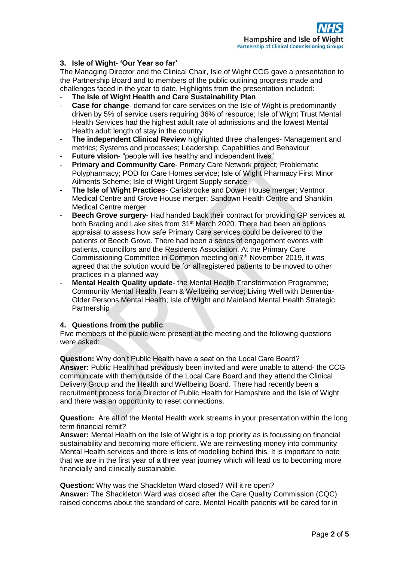# **3. Isle of Wight- 'Our Year so far'**

The Managing Director and the Clinical Chair, Isle of Wight CCG gave a presentation to the Partnership Board and to members of the public outlining progress made and challenges faced in the year to date. Highlights from the presentation included:

- **The Isle of Wight Health and Care Sustainability Plan**
- **Case for change-** demand for care services on the Isle of Wight is predominantly driven by 5% of service users requiring 36% of resource; Isle of Wight Trust Mental Health Services had the highest adult rate of admissions and the lowest Mental Health adult length of stay in the country
- **The independent Clinical Review** highlighted three challenges- Management and metrics; Systems and processes; Leadership, Capabilities and Behaviour
- **Future vision-** "people will live healthy and independent lives"
- **Primary and Community Care- Primary Care Network project; Problematic** Polypharmacy; POD for Care Homes service; Isle of Wight Pharmacy First Minor Ailments Scheme; Isle of Wight Urgent Supply service
- **The Isle of Wight Practices** Carisbrooke and Dower House merger; Ventnor Medical Centre and Grove House merger; Sandown Health Centre and Shanklin Medical Centre merger
- **Beech Grove surgery-** Had handed back their contract for providing GP services at both Brading and Lake sites from 31<sup>st</sup> March 2020. There had been an options appraisal to assess how safe Primary Care services could be delivered to the patients of Beech Grove. There had been a series of engagement events with patients, councillors and the Residents Association. At the Primary Care Commissioning Committee in Common meeting on 7th November 2019, it was agreed that the solution would be for all registered patients to be moved to other practices in a planned way
- **Mental Health Quality update** the Mental Health Transformation Programme; Community Mental Health Team & Wellbeing service; Living Well with Dementia-Older Persons Mental Health; Isle of Wight and Mainland Mental Health Strategic **Partnership**

# **4. Questions from the public**

Five members of the public were present at the meeting and the following questions were asked:

**Question:** Why don't Public Health have a seat on the Local Care Board? **Answer:** Public Health had previously been invited and were unable to attend- the CCG communicate with them outside of the Local Care Board and they attend the Clinical Delivery Group and the Health and Wellbeing Board. There had recently been a recruitment process for a Director of Public Health for Hampshire and the Isle of Wight and there was an opportunity to reset connections.

**Question:** Are all of the Mental Health work streams in your presentation within the long term financial remit?

**Answer:** Mental Health on the Isle of Wight is a top priority as is focussing on financial sustainability and becoming more efficient. We are reinvesting money into community Mental Health services and there is lots of modelling behind this. It is important to note that we are in the first year of a three year journey which will lead us to becoming more financially and clinically sustainable.

**Question:** Why was the Shackleton Ward closed? Will it re open? **Answer:** The Shackleton Ward was closed after the Care Quality Commission (CQC) raised concerns about the standard of care. Mental Health patients will be cared for in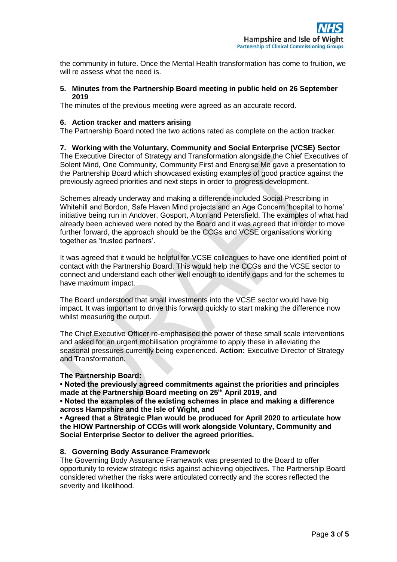the community in future. Once the Mental Health transformation has come to fruition, we will re assess what the need is.

#### **5. Minutes from the Partnership Board meeting in public held on 26 September 2019**

The minutes of the previous meeting were agreed as an accurate record.

## **6. Action tracker and matters arising**

The Partnership Board noted the two actions rated as complete on the action tracker.

#### **7. Working with the Voluntary, Community and Social Enterprise (VCSE) Sector**

The Executive Director of Strategy and Transformation alongside the Chief Executives of Solent Mind, One Community, Community First and Energise Me gave a presentation to the Partnership Board which showcased existing examples of good practice against the previously agreed priorities and next steps in order to progress development.

Schemes already underway and making a difference included Social Prescribing in Whitehill and Bordon, Safe Haven Mind projects and an Age Concern 'hospital to home' initiative being run in Andover, Gosport, Alton and Petersfield. The examples of what had already been achieved were noted by the Board and it was agreed that in order to move further forward, the approach should be the CCGs and VCSE organisations working together as 'trusted partners'.

It was agreed that it would be helpful for VCSE colleagues to have one identified point of contact with the Partnership Board. This would help the CCGs and the VCSE sector to connect and understand each other well enough to identify gaps and for the schemes to have maximum impact.

The Board understood that small investments into the VCSE sector would have big impact. It was important to drive this forward quickly to start making the difference now whilst measuring the output.

The Chief Executive Officer re-emphasised the power of these small scale interventions and asked for an urgent mobilisation programme to apply these in alleviating the seasonal pressures currently being experienced. **Action:** Executive Director of Strategy and Transformation.

#### **The Partnership Board:**

**• Noted the previously agreed commitments against the priorities and principles made at the Partnership Board meeting on 25th April 2019, and** 

**• Noted the examples of the existing schemes in place and making a difference across Hampshire and the Isle of Wight, and** 

**• Agreed that a Strategic Plan would be produced for April 2020 to articulate how the HIOW Partnership of CCGs will work alongside Voluntary, Community and Social Enterprise Sector to deliver the agreed priorities.**

#### **8. Governing Body Assurance Framework**

The Governing Body Assurance Framework was presented to the Board to offer opportunity to review strategic risks against achieving objectives. The Partnership Board considered whether the risks were articulated correctly and the scores reflected the severity and likelihood.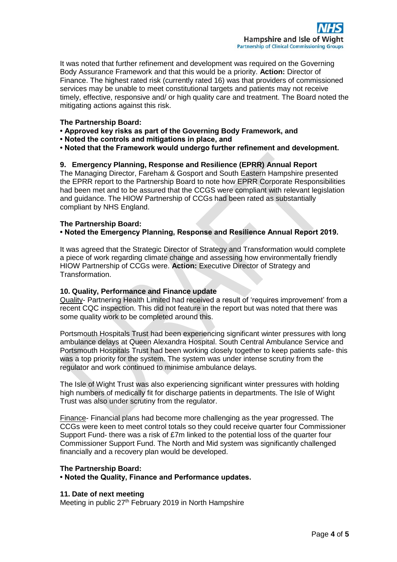It was noted that further refinement and development was required on the Governing Body Assurance Framework and that this would be a priority. **Action:** Director of Finance. The highest rated risk (currently rated 16) was that providers of commissioned services may be unable to meet constitutional targets and patients may not receive timely, effective, responsive and/ or high quality care and treatment. The Board noted the mitigating actions against this risk.

## **The Partnership Board:**

- **Approved key risks as part of the Governing Body Framework, and**
- **Noted the controls and mitigations in place, and**
- **Noted that the Framework would undergo further refinement and development.**

#### **9. Emergency Planning, Response and Resilience (EPRR) Annual Report**

The Managing Director, Fareham & Gosport and South Eastern Hampshire presented the EPRR report to the Partnership Board to note how EPRR Corporate Responsibilities had been met and to be assured that the CCGS were compliant with relevant legislation and guidance. The HIOW Partnership of CCGs had been rated as substantially compliant by NHS England.

#### **The Partnership Board:**

#### **• Noted the Emergency Planning, Response and Resilience Annual Report 2019.**

It was agreed that the Strategic Director of Strategy and Transformation would complete a piece of work regarding climate change and assessing how environmentally friendly HIOW Partnership of CCGs were. **Action:** Executive Director of Strategy and Transformation.

#### **10. Quality, Performance and Finance update**

Quality- Partnering Health Limited had received a result of 'requires improvement' from a recent CQC inspection. This did not feature in the report but was noted that there was some quality work to be completed around this.

Portsmouth Hospitals Trust had been experiencing significant winter pressures with long ambulance delays at Queen Alexandra Hospital. South Central Ambulance Service and Portsmouth Hospitals Trust had been working closely together to keep patients safe- this was a top priority for the system. The system was under intense scrutiny from the regulator and work continued to minimise ambulance delays.

The Isle of Wight Trust was also experiencing significant winter pressures with holding high numbers of medically fit for discharge patients in departments. The Isle of Wight Trust was also under scrutiny from the regulator.

Finance- Financial plans had become more challenging as the year progressed. The CCGs were keen to meet control totals so they could receive quarter four Commissioner Support Fund- there was a risk of £7m linked to the potential loss of the quarter four Commissioner Support Fund. The North and Mid system was significantly challenged financially and a recovery plan would be developed.

#### **The Partnership Board:**

**• Noted the Quality, Finance and Performance updates.** 

#### **11. Date of next meeting**

Meeting in public 27<sup>th</sup> February 2019 in North Hampshire